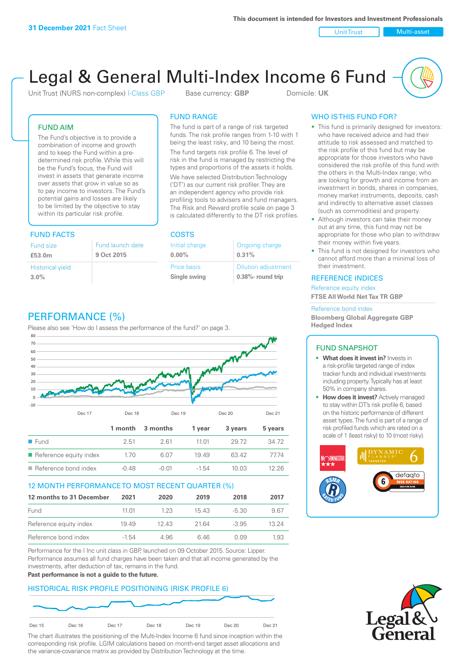Unit Trust Nulti-asset

# Legal & General Multi-Index Income 6 Fund

Unit Trust (NURS non-complex) I-Class GBP Base currency: **GBP** Domicile: UK

# FUND AIM

The Fund's objective is to provide a combination of income and growth and to keep the Fund within a predetermined risk profile. While this will be the Fund's focus, the Fund will invest in assets that generate income over assets that grow in value so as to pay income to investors. The Fund's potential gains and losses are likely to be limited by the objective to stay within its particular risk profile.

# FUND FACTS COSTS

| Fund size               | Fund launch date |
|-------------------------|------------------|
| £53.0m                  | 9 Oct 2015       |
| <b>Historical yield</b> |                  |
| 3.0%                    |                  |

# FUND RANGE

The fund is part of a range of risk targeted funds. The risk profile ranges from 1-10 with 1 being the least risky, and 10 being the most.

The fund targets risk profile 6. The level of risk in the fund is managed by restricting the types and proportions of the assets it holds. We have selected Distribution Technology ('DT') as our current risk profiler. They are an independent agency who provide risk profiling tools to advisers and fund managers. The Risk and Reward profile scale on page 3 is calculated differently to the DT risk profiles.

| Initial charge | Ongoing charge             |
|----------------|----------------------------|
| $0.00\%$       | 0.31%                      |
| Price basis    | <b>Dilution adjustment</b> |
| Single swing   | $0.38\%$ - round trip      |

# WHO IS THIS FUND FOR?

- This fund is primarily designed for investors: who have received advice and had their attitude to risk assessed and matched to the risk profile of this fund but may be appropriate for those investors who have considered the risk profile of this fund with the others in the Multi-Index range; who are looking for growth and income from an investment in bonds, shares in companies, money market instruments, deposits, cash and indirectly to alternative asset classes (such as commodities) and property.
- Although investors can take their money out at any time, this fund may not be appropriate for those who plan to withdraw their money within five years.
- This fund is not designed for investors who cannot afford more than a minimal loss of their investment.

# REFERENCE INDICES

Reference equity index **FTSE All World Net Tax TR GBP**

#### Reference bond index

**Bloomberg Global Aggregate GBP Hedged Index**

# FUND SNAPSHOT

- **• What does it invest in?** Invests in a risk-profile targeted range of index tracker funds and individual investments including property. Typically has at least 50% in company shares.
- **• How does it invest?** Actively managed to stay within DT's risk profile 6, based on the historic performance of different asset types. The fund is part of a range of risk profiled funds which are rated on a scale of 1 (least risky) to 10 (most risky).





# PERFORMANCE (%)

Please also see 'How do I assess the performance of the fund?' on page 3.



# 12 MONTH PERFORMANCE TO MOST RECENT QUARTER (%)

| 12 months to 31 December | 2021    | 2020 | 2019 | 2018    | 2017  |
|--------------------------|---------|------|------|---------|-------|
| Fund                     | 11 M    | 123  | 1543 | -5.30   | 9.67  |
| Reference equity index   | 1949    | 1243 | 2164 | $-3.95$ | 13 24 |
| Reference bond index     | $-1.54$ | 4.96 | 646  | 0.09    | 1 93  |

Performance for the I Inc unit class in GBP, launched on 09 October 2015. Source: Lipper. Performance assumes all fund charges have been taken and that all income generated by the investments, after deduction of tax, remains in the fund.

#### **Past performance is not a guide to the future.**

# HISTORICAL RISK PROFILE POSITIONING (RISK PROFILE 6)



The chart illustrates the positioning of the Multi-Index Income 6 fund since inception within the corresponding risk profile. LGIM calculations based on month-end target asset allocations and the variance-covariance matrix as provided by Distribution Technology at the time.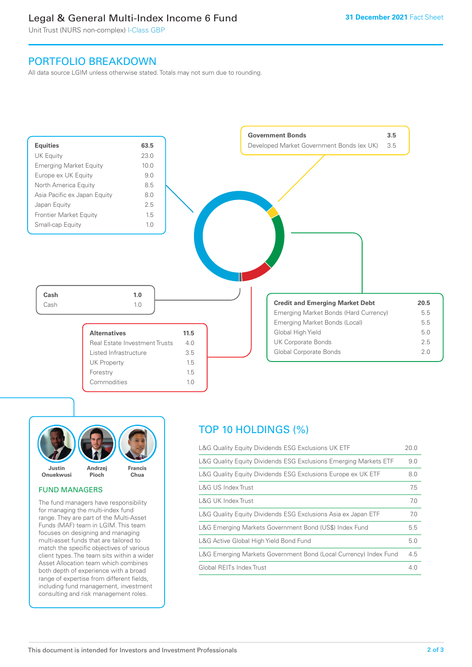# Legal & General Multi-Index Income 6 Fund

Unit Trust (NURS non-complex) I-Class GBP

# PORTFOLIO BREAKDOWN

All data source LGIM unless otherwise stated. Totals may not sum due to rounding.





# FUND MANAGERS

The fund managers have responsibility for managing the multi-index fund range. They are part of the Multi-Asset Funds (MAF) team in LGIM. This team focuses on designing and managing multi-asset funds that are tailored to match the specific objectives of various client types. The team sits within a wider Asset Allocation team which combines both depth of experience with a broad range of expertise from different fields, including fund management, investment consulting and risk management roles.

# TOP 10 HOLDINGS (%)

| L&G Quality Equity Dividends ESG Exclusions UK ETF               | 20.0 |
|------------------------------------------------------------------|------|
| L&G Quality Equity Dividends ESG Exclusions Emerging Markets ETF | 9.0  |
| L&G Quality Equity Dividends ESG Exclusions Europe ex UK ETF     | 8.0  |
| L&G US Index Trust                                               | 7.5  |
| L&G UK Index Trust                                               | 7.0  |
| L&G Quality Equity Dividends ESG Exclusions Asia ex Japan ETF    | 7.0  |
| L&G Emerging Markets Government Bond (US\$) Index Fund           | 5.5  |
| L&G Active Global High Yield Bond Fund                           | 5.0  |
| L&G Emerging Markets Government Bond (Local Currency) Index Fund | 4.5  |
| Global REITs Index Trust                                         | 4.0  |